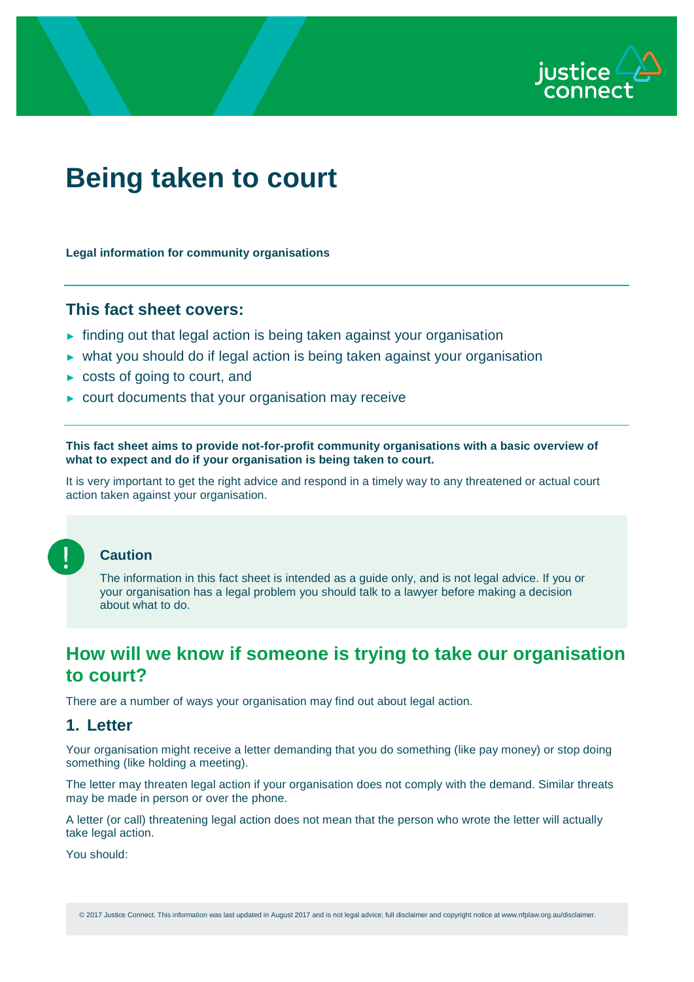

# **Being taken to court**

**Legal information for community organisations**

## **This fact sheet covers:**

- ► finding out that legal action is being taken against your organisation
- ► what you should do if legal action is being taken against your organisation
- ► costs of going to court, and
- ► court documents that your organisation may receive

**This fact sheet aims to provide not-for-profit community organisations with a basic overview of what to expect and do if your organisation is being taken to court.**

It is very important to get the right advice and respond in a timely way to any threatened or actual court action taken against your organisation.



#### **Caution**

The information in this fact sheet is intended as a guide only, and is not legal advice. If you or your organisation has a legal problem you should talk to a lawyer before making a decision about what to do.

# **How will we know if someone is trying to take our organisation to court?**

There are a number of ways your organisation may find out about legal action.

## **1. Letter**

Your organisation might receive a letter demanding that you do something (like pay money) or stop doing something (like holding a meeting).

The letter may threaten legal action if your organisation does not comply with the demand. Similar threats may be made in person or over the phone.

A letter (or call) threatening legal action does not mean that the person who wrote the letter will actually take legal action.

You should:

© 2017 Justice Connect. This information was last updated in August 2017 and is not legal advice; full disclaimer and copyright notice at www.nfplaw.org.au/disclaimer.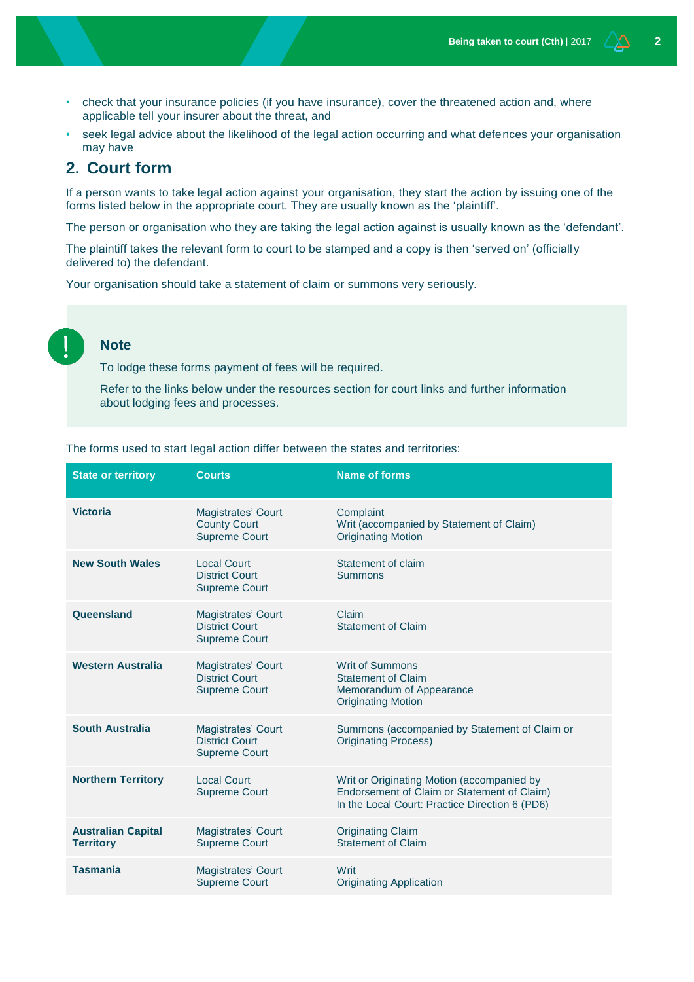- check that your insurance policies (if you have insurance), cover the threatened action and, where applicable tell your insurer about the threat, and
- seek legal advice about the likelihood of the legal action occurring and what defences your organisation may have

## **2. Court form**

If a person wants to take legal action against your organisation, they start the action by issuing one of the forms listed below in the appropriate court. They are usually known as the 'plaintiff'.

The person or organisation who they are taking the legal action against is usually known as the 'defendant'.

The plaintiff takes the relevant form to court to be stamped and a copy is then 'served on' (officially delivered to) the defendant.

Your organisation should take a statement of claim or summons very seriously.

## **Note**

To lodge these forms payment of fees will be required.

Refer to the links below under the resources section for court links and further information about lodging fees and processes.

| <b>State or territory</b>                     | <b>Courts</b>                                                              | <b>Name of forms</b>                                                                                                                        |
|-----------------------------------------------|----------------------------------------------------------------------------|---------------------------------------------------------------------------------------------------------------------------------------------|
| <b>Victoria</b>                               | Magistrates' Court<br><b>County Court</b><br><b>Supreme Court</b>          | Complaint<br>Writ (accompanied by Statement of Claim)<br><b>Originating Motion</b>                                                          |
| <b>New South Wales</b>                        | <b>Local Court</b><br><b>District Court</b><br><b>Supreme Court</b>        | Statement of claim<br><b>Summons</b>                                                                                                        |
| Queensland                                    | <b>Magistrates' Court</b><br><b>District Court</b><br><b>Supreme Court</b> | Claim<br><b>Statement of Claim</b>                                                                                                          |
| <b>Western Australia</b>                      | <b>Magistrates' Court</b><br><b>District Court</b><br><b>Supreme Court</b> | <b>Writ of Summons</b><br><b>Statement of Claim</b><br>Memorandum of Appearance<br><b>Originating Motion</b>                                |
| <b>South Australia</b>                        | <b>Magistrates' Court</b><br><b>District Court</b><br><b>Supreme Court</b> | Summons (accompanied by Statement of Claim or<br><b>Originating Process)</b>                                                                |
| <b>Northern Territory</b>                     | <b>Local Court</b><br><b>Supreme Court</b>                                 | Writ or Originating Motion (accompanied by<br>Endorsement of Claim or Statement of Claim)<br>In the Local Court: Practice Direction 6 (PD6) |
| <b>Australian Capital</b><br><b>Territory</b> | <b>Magistrates' Court</b><br><b>Supreme Court</b>                          | <b>Originating Claim</b><br><b>Statement of Claim</b>                                                                                       |
| <b>Tasmania</b>                               | <b>Magistrates' Court</b><br><b>Supreme Court</b>                          | Writ<br><b>Originating Application</b>                                                                                                      |

The forms used to start legal action differ between the states and territories: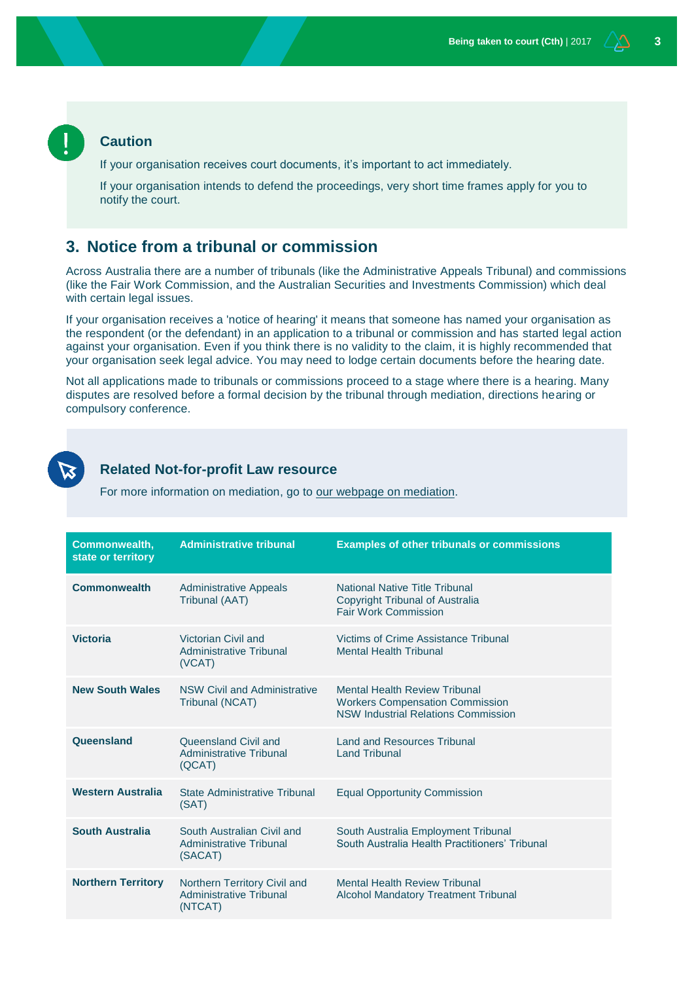#### **Caution**

If your organisation receives court documents, it's important to act immediately.

If your organisation intends to defend the proceedings, very short time frames apply for you to notify the court.

## **3. Notice from a tribunal or commission**

Across Australia there are a number of tribunals (like the Administrative Appeals Tribunal) and commissions (like the Fair Work Commission, and the Australian Securities and Investments Commission) which deal with certain legal issues.

If your organisation receives a 'notice of hearing' it means that someone has named your organisation as the respondent (or the defendant) in an application to a tribunal or commission and has started legal action against your organisation. Even if you think there is no validity to the claim, it is highly recommended that your organisation seek legal advice. You may need to lodge certain documents before the hearing date.

Not all applications made to tribunals or commissions proceed to a stage where there is a hearing. Many disputes are resolved before a formal decision by the tribunal through mediation, directions hearing or compulsory conference.



#### **Related Not-for-profit Law resource**

For more information on mediation, go to [our webpage on mediation.](http://www.nfplaw.org.au/mediation)

| <b>Commonwealth,</b><br>state or territory | <b>Administrative tribunal</b>                                            | <b>Examples of other tribunals or commissions</b>                                                                            |
|--------------------------------------------|---------------------------------------------------------------------------|------------------------------------------------------------------------------------------------------------------------------|
| <b>Commonwealth</b>                        | <b>Administrative Appeals</b><br>Tribunal (AAT)                           | National Native Title Tribunal<br><b>Copyright Tribunal of Australia</b><br><b>Fair Work Commission</b>                      |
| <b>Victoria</b>                            | Victorian Civil and<br>Administrative Tribunal<br>(VCAT)                  | Victims of Crime Assistance Tribunal<br><b>Mental Health Tribunal</b>                                                        |
| <b>New South Wales</b>                     | <b>NSW Civil and Administrative</b><br>Tribunal (NCAT)                    | <b>Mental Health Review Tribunal</b><br><b>Workers Compensation Commission</b><br><b>NSW Industrial Relations Commission</b> |
| Queensland                                 | Queensland Civil and<br>Administrative Tribunal<br>(QCAT)                 | <b>Land and Resources Tribunal</b><br><b>Land Tribunal</b>                                                                   |
| <b>Western Australia</b>                   | State Administrative Tribunal<br>(SAT)                                    | <b>Equal Opportunity Commission</b>                                                                                          |
| <b>South Australia</b>                     | South Australian Civil and<br>Administrative Tribunal<br>(SACAT)          | South Australia Employment Tribunal<br>South Australia Health Practitioners' Tribunal                                        |
| <b>Northern Territory</b>                  | Northern Territory Civil and<br><b>Administrative Tribunal</b><br>(NTCAT) | <b>Mental Health Review Tribunal</b><br><b>Alcohol Mandatory Treatment Tribunal</b>                                          |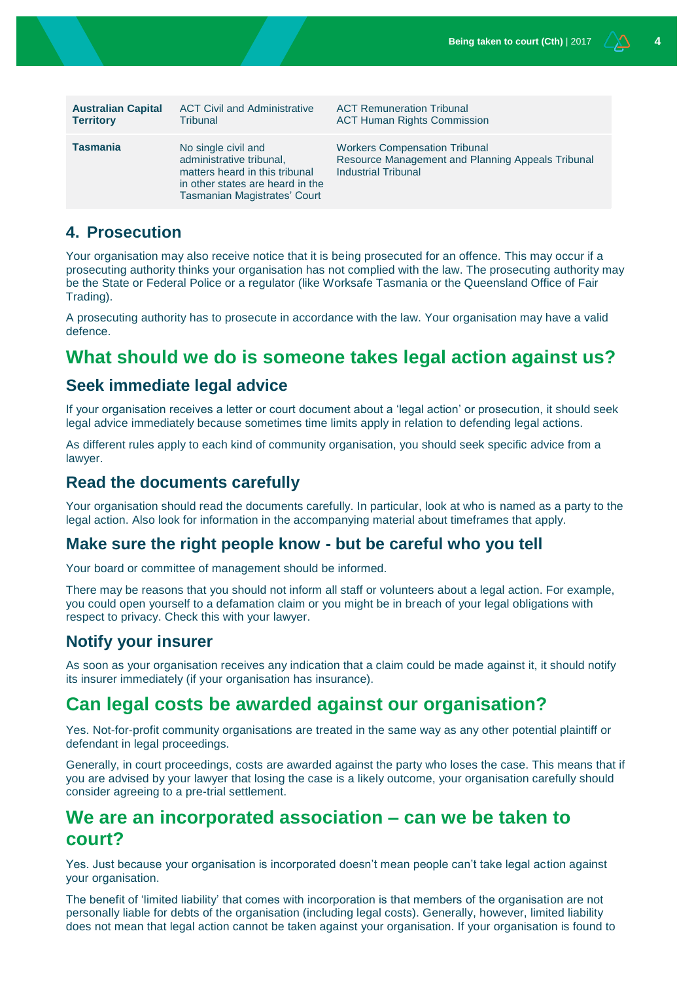| <b>Australian Capital</b> | <b>ACT Civil and Administrative</b>                                                                                                                   | <b>ACT Remuneration Tribunal</b>                                                                                        |
|---------------------------|-------------------------------------------------------------------------------------------------------------------------------------------------------|-------------------------------------------------------------------------------------------------------------------------|
| <b>Territory</b>          | Tribunal                                                                                                                                              | <b>ACT Human Rights Commission</b>                                                                                      |
| <b>Tasmania</b>           | No single civil and<br>administrative tribunal,<br>matters heard in this tribunal<br>in other states are heard in the<br>Tasmanian Magistrates' Court | <b>Workers Compensation Tribunal</b><br>Resource Management and Planning Appeals Tribunal<br><b>Industrial Tribunal</b> |

## **4. Prosecution**

Your organisation may also receive notice that it is being prosecuted for an offence. This may occur if a prosecuting authority thinks your organisation has not complied with the law. The prosecuting authority may be the State or Federal Police or a regulator (like Worksafe Tasmania or the Queensland Office of Fair Trading).

A prosecuting authority has to prosecute in accordance with the law. Your organisation may have a valid defence.

# **What should we do is someone takes legal action against us?**

## **Seek immediate legal advice**

If your organisation receives a letter or court document about a 'legal action' or prosecution, it should seek legal advice immediately because sometimes time limits apply in relation to defending legal actions.

As different rules apply to each kind of community organisation, you should seek specific advice from a lawyer.

## **Read the documents carefully**

Your organisation should read the documents carefully. In particular, look at who is named as a party to the legal action. Also look for information in the accompanying material about timeframes that apply.

#### **Make sure the right people know - but be careful who you tell**

Your board or committee of management should be informed.

There may be reasons that you should not inform all staff or volunteers about a legal action. For example, you could open yourself to a defamation claim or you might be in breach of your legal obligations with respect to privacy. Check this with your lawyer.

#### **Notify your insurer**

As soon as your organisation receives any indication that a claim could be made against it, it should notify its insurer immediately (if your organisation has insurance).

# **Can legal costs be awarded against our organisation?**

Yes. Not-for-profit community organisations are treated in the same way as any other potential plaintiff or defendant in legal proceedings.

Generally, in court proceedings, costs are awarded against the party who loses the case. This means that if you are advised by your lawyer that losing the case is a likely outcome, your organisation carefully should consider agreeing to a pre-trial settlement.

# **We are an incorporated association – can we be taken to court?**

Yes. Just because your organisation is incorporated doesn't mean people can't take legal action against your organisation.

The benefit of 'limited liability' that comes with incorporation is that members of the organisation are not personally liable for debts of the organisation (including legal costs). Generally, however, limited liability does not mean that legal action cannot be taken against your organisation. If your organisation is found to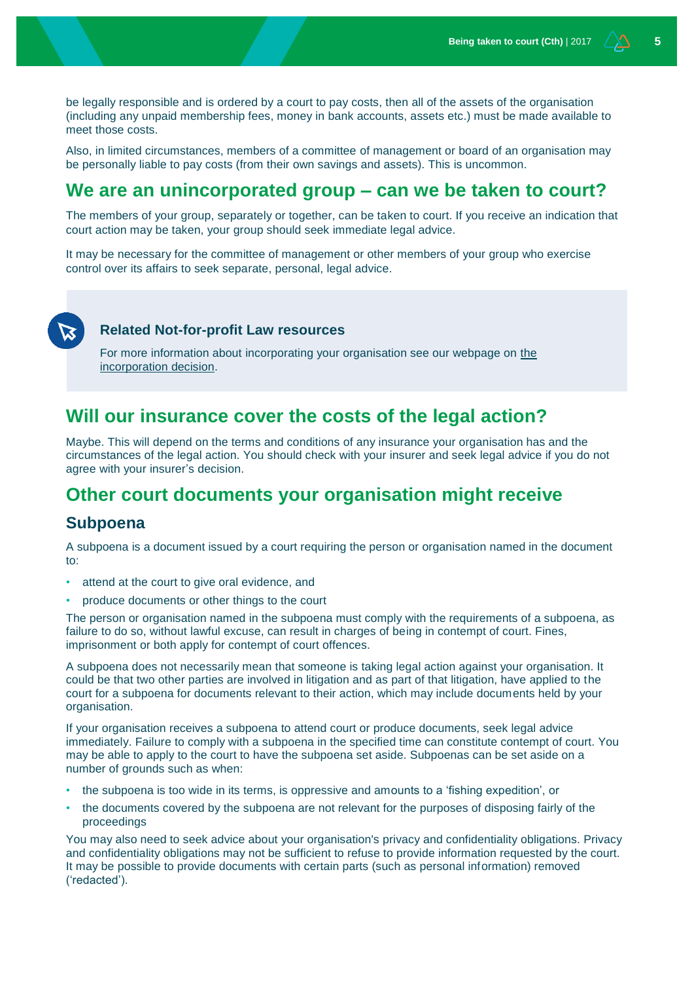be legally responsible and is ordered by a court to pay costs, then all of the assets of the organisation (including any unpaid membership fees, money in bank accounts, assets etc.) must be made available to meet those costs.

Also, in limited circumstances, members of a committee of management or board of an organisation may be personally liable to pay costs (from their own savings and assets). This is uncommon.

# **We are an unincorporated group – can we be taken to court?**

The members of your group, separately or together, can be taken to court. If you receive an indication that court action may be taken, your group should seek immediate legal advice.

It may be necessary for the committee of management or other members of your group who exercise control over its affairs to seek separate, personal, legal advice.



#### **Related Not-for-profit Law resources**

For more information about incorporating your organisation see our webpage on [the](https://www.nfplaw.org.au/incorporationdecision)  [incorporation decision.](https://www.nfplaw.org.au/incorporationdecision)

# **Will our insurance cover the costs of the legal action?**

Maybe. This will depend on the terms and conditions of any insurance your organisation has and the circumstances of the legal action. You should check with your insurer and seek legal advice if you do not agree with your insurer's decision.

# **Other court documents your organisation might receive**

## **Subpoena**

A subpoena is a document issued by a court requiring the person or organisation named in the document to:

- attend at the court to give oral evidence, and
- produce documents or other things to the court

The person or organisation named in the subpoena must comply with the requirements of a subpoena, as failure to do so, without lawful excuse, can result in charges of being in contempt of court. Fines, imprisonment or both apply for contempt of court offences.

A subpoena does not necessarily mean that someone is taking legal action against your organisation. It could be that two other parties are involved in litigation and as part of that litigation, have applied to the court for a subpoena for documents relevant to their action, which may include documents held by your organisation.

If your organisation receives a subpoena to attend court or produce documents, seek legal advice immediately. Failure to comply with a subpoena in the specified time can constitute contempt of court. You may be able to apply to the court to have the subpoena set aside. Subpoenas can be set aside on a number of grounds such as when:

- the subpoena is too wide in its terms, is oppressive and amounts to a 'fishing expedition', or
- the documents covered by the subpoena are not relevant for the purposes of disposing fairly of the proceedings

You may also need to seek advice about your organisation's privacy and confidentiality obligations. Privacy and confidentiality obligations may not be sufficient to refuse to provide information requested by the court. It may be possible to provide documents with certain parts (such as personal information) removed ('redacted').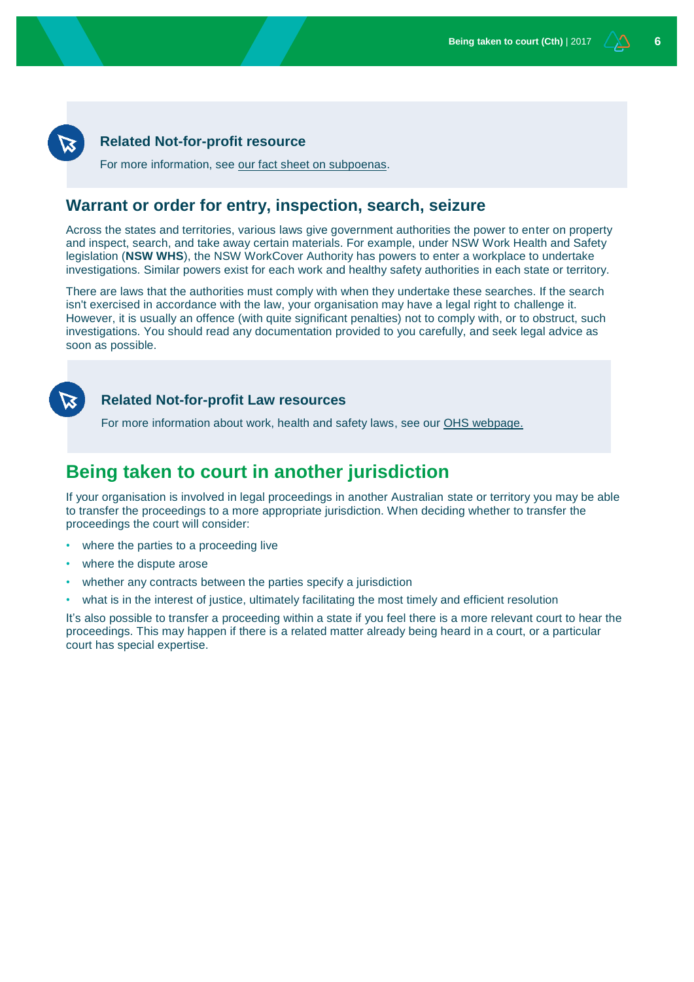#### **Related Not-for-profit resource**

For more information, see [our fact sheet on subpoenas.](https://www.nfplaw.org.au/subpoenas)

## **Warrant or order for entry, inspection, search, seizure**

Across the states and territories, various laws give government authorities the power to enter on property and inspect, search, and take away certain materials. For example, under NSW Work Health and Safety legislation (**NSW WHS**), the NSW WorkCover Authority has powers to enter a workplace to undertake investigations. Similar powers exist for each work and healthy safety authorities in each state or territory.

There are laws that the authorities must comply with when they undertake these searches. If the search isn't exercised in accordance with the law, your organisation may have a legal right to challenge it. However, it is usually an offence (with quite significant penalties) not to comply with, or to obstruct, such investigations. You should read any documentation provided to you carefully, and seek legal advice as soon as possible.



#### **Related Not-for-profit Law resources**

For more information about work, health and safety laws, see our [OHS webpage.](http://www.nfplaw.org.au/OHS)

# **Being taken to court in another jurisdiction**

If your organisation is involved in legal proceedings in another Australian state or territory you may be able to transfer the proceedings to a more appropriate jurisdiction. When deciding whether to transfer the proceedings the court will consider:

- where the parties to a proceeding live
- where the dispute arose
- whether any contracts between the parties specify a jurisdiction
- what is in the interest of justice, ultimately facilitating the most timely and efficient resolution

It's also possible to transfer a proceeding within a state if you feel there is a more relevant court to hear the proceedings. This may happen if there is a related matter already being heard in a court, or a particular court has special expertise.